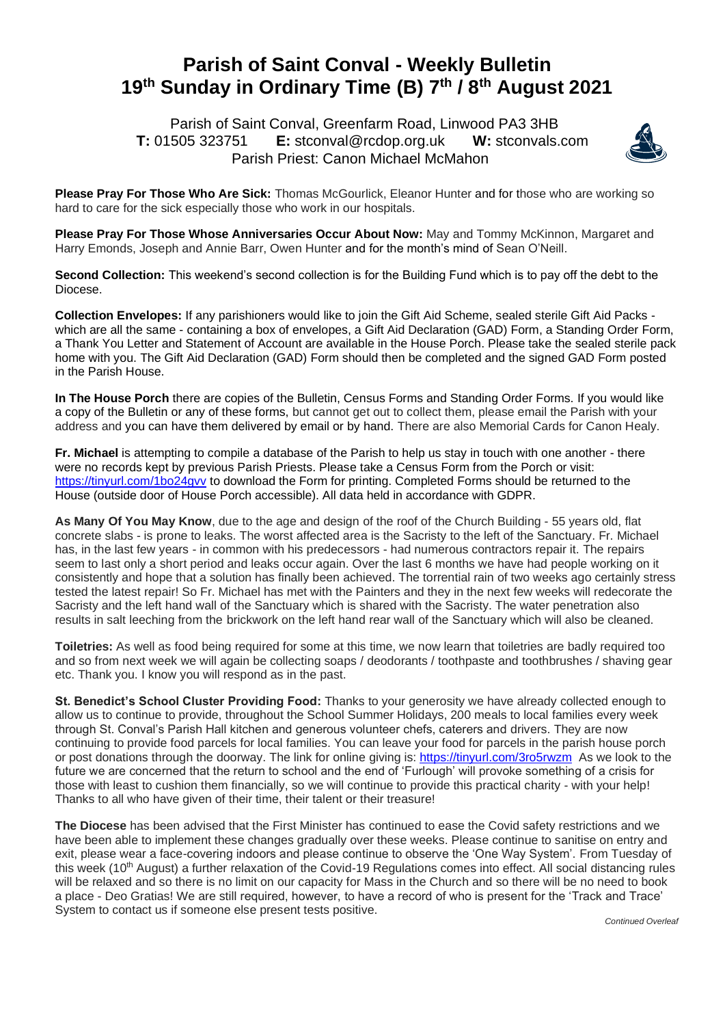## **Parish of Saint Conval - Weekly Bulletin 19 th Sunday in Ordinary Time (B) 7 th / 8th August 2021**

 Parish of Saint Conval, Greenfarm Road, Linwood PA3 3HB **T:** 01505 323751 **E:** [stconval@rcdop.org.uk](mailto:stconval@rcdop.org.uk) **W:** stconvals.com Parish Priest: Canon Michael McMahon



**Please Pray For Those Who Are Sick:** Thomas McGourlick, Eleanor Hunter and for those who are working so hard to care for the sick especially those who work in our hospitals.

**Please Pray For Those Whose Anniversaries Occur About Now:** May and Tommy McKinnon, Margaret and Harry Emonds, Joseph and Annie Barr, Owen Hunter and for the month's mind of Sean O'Neill.

**Second Collection:** This weekend's second collection is for the Building Fund which is to pay off the debt to the Diocese.

**Collection Envelopes:** If any parishioners would like to join the Gift Aid Scheme, sealed sterile Gift Aid Packs which are all the same - containing a box of envelopes, a Gift Aid Declaration (GAD) Form, a Standing Order Form, a Thank You Letter and Statement of Account are available in the House Porch. Please take the sealed sterile pack home with you. The Gift Aid Declaration (GAD) Form should then be completed and the signed GAD Form posted in the Parish House.

**In The House Porch** there are copies of the Bulletin, Census Forms and Standing Order Forms. If you would like a copy of the Bulletin or any of these forms, but cannot get out to collect them, please email the Parish with your address and you can have them delivered by email or by hand. There are also Memorial Cards for Canon Healy.

**Fr. Michael** is attempting to compile a database of the Parish to help us stay in touch with one another - there were no records kept by previous Parish Priests. Please take a Census Form from the Porch or visit: <https://tinyurl.com/1bo24gvv> to download the Form for printing. Completed Forms should be returned to the House (outside door of House Porch accessible). All data held in accordance with GDPR.

As Many Of You May Know, due to the age and design of the roof of the Church Building - 55 years old, flat concrete slabs - is prone to leaks. The worst affected area is the Sacristy to the left of the Sanctuary. Fr. Michael has, in the last few years - in common with his predecessors - had numerous contractors repair it. The repairs seem to last only a short period and leaks occur again. Over the last 6 months we have had people working on it consistently and hope that a solution has finally been achieved. The torrential rain of two weeks ago certainly stress tested the latest repair! So Fr. Michael has met with the Painters and they in the next few weeks will redecorate the Sacristy and the left hand wall of the Sanctuary which is shared with the Sacristy. The water penetration also results in salt leeching from the brickwork on the left hand rear wall of the Sanctuary which will also be cleaned.

**Toiletries:** As well as food being required for some at this time, we now learn that toiletries are badly required too and so from next week we will again be collecting soaps / deodorants / toothpaste and toothbrushes / shaving gear etc. Thank you. I know you will respond as in the past.

**St. Benedict's School Cluster Providing Food:** Thanks to your generosity we have already collected enough to allow us to continue to provide, throughout the School Summer Holidays, 200 meals to local families every week through St. Conval's Parish Hall kitchen and generous volunteer chefs, caterers and drivers. They are now continuing to provide food parcels for local families. You can leave your food for parcels in the parish house porch or post donations through the doorway. The link for online giving is:<https://tinyurl.com/3ro5rwzm>As we look to the future we are concerned that the return to school and the end of 'Furlough' will provoke something of a crisis for those with least to cushion them financially, so we will continue to provide this practical charity - with your help! Thanks to all who have given of their time, their talent or their treasure!

**The Diocese** has been advised that the First Minister has continued to ease the Covid safety restrictions and we have been able to implement these changes gradually over these weeks. Please continue to sanitise on entry and exit, please wear a face-covering indoors and please continue to observe the 'One Way System'. From Tuesday of this week (10<sup>th</sup> August) a further relaxation of the Covid-19 Regulations comes into effect. All social distancing rules will be relaxed and so there is no limit on our capacity for Mass in the Church and so there will be no need to book a place - Deo Gratias! We are still required, however, to have a record of who is present for the 'Track and Trace' System to contact us if someone else present tests positive.